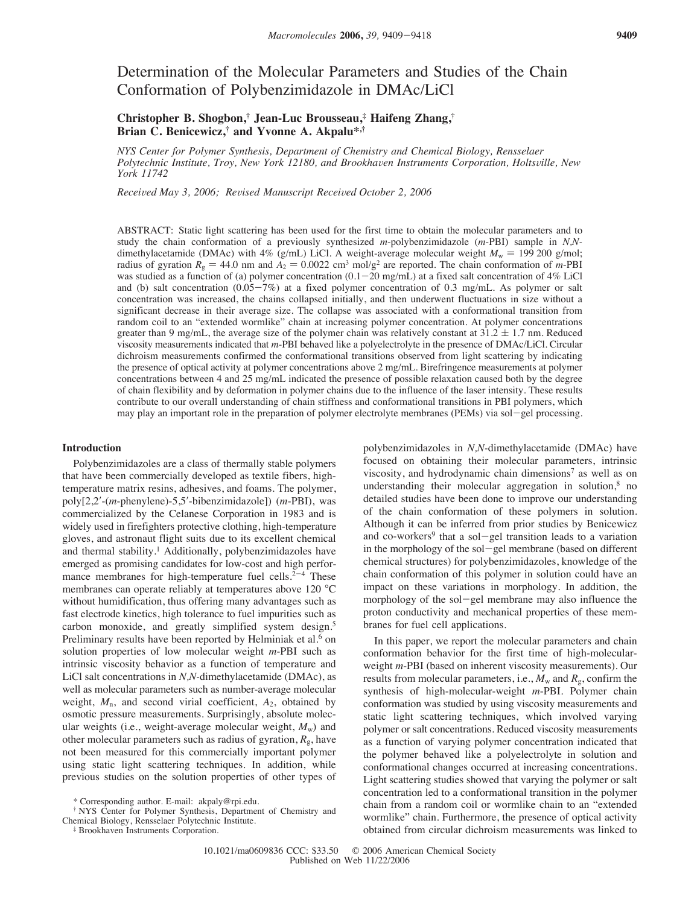# Determination of the Molecular Parameters and Studies of the Chain Conformation of Polybenzimidazole in DMAc/LiCl

# **Christopher B. Shogbon,† Jean-Luc Brousseau,‡ Haifeng Zhang,† Brian C. Benicewicz,† and Yvonne A. Akpalu\*,†**

*NYS Center for Polymer Synthesis, Department of Chemistry and Chemical Biology, Rensselaer Polytechnic Institute, Troy, New York 12180, and Brookhaven Instruments Corporation, Holtsville, New York 11742*

*Received May 3, 2006; Revised Manuscript Received October 2, 2006* 

ABSTRACT: Static light scattering has been used for the first time to obtain the molecular parameters and to study the chain conformation of a previously synthesized *m*-polybenzimidazole (*m*-PBI) sample in *N,N*dimethylacetamide (DMAc) with  $4\%$  (g/mL) LiCl. A weight-average molecular weight  $M_w = 199\,200$  g/mol; radius of gyration  $R_g = 44.0$  nm and  $A_2 = 0.0022$  cm<sup>3</sup> mol/g<sup>2</sup> are reported. The chain conformation of *m*-PBI was studied as a function of (a) polymer concentration  $(0.1-20 \text{ mg/mL})$  at a fixed salt concentration of 4% LiCl and (b) salt concentration (0.05-7%) at a fixed polymer concentration of 0.3 mg/mL. As polymer or salt concentration was increased, the chains collapsed initially, and then underwent fluctuations in size without a significant decrease in their average size. The collapse was associated with a conformational transition from random coil to an "extended wormlike" chain at increasing polymer concentration. At polymer concentrations greater than 9 mg/mL, the average size of the polymer chain was relatively constant at  $31.2 \pm 1.7$  nm. Reduced viscosity measurements indicated that *m*-PBI behaved like a polyelectrolyte in the presence of DMAc/LiCl. Circular dichroism measurements confirmed the conformational transitions observed from light scattering by indicating the presence of optical activity at polymer concentrations above 2 mg/mL. Birefringence measurements at polymer concentrations between 4 and 25 mg/mL indicated the presence of possible relaxation caused both by the degree of chain flexibility and by deformation in polymer chains due to the influence of the laser intensity. These results contribute to our overall understanding of chain stiffness and conformational transitions in PBI polymers, which may play an important role in the preparation of polymer electrolyte membranes (PEMs) via sol-gel processing.

## **Introduction**

Polybenzimidazoles are a class of thermally stable polymers that have been commercially developed as textile fibers, hightemperature matrix resins, adhesives, and foams. The polymer, poly[2,2!-(*m*-phenylene)-5,5!-bibenzimidazole]) (*m*-PBI), was commercialized by the Celanese Corporation in 1983 and is widely used in firefighters protective clothing, high-temperature gloves, and astronaut flight suits due to its excellent chemical and thermal stability.<sup>1</sup> Additionally, polybenzimidazoles have emerged as promising candidates for low-cost and high performance membranes for high-temperature fuel cells. $2<sup>-4</sup>$  These membranes can operate reliably at temperatures above 120 °C without humidification, thus offering many advantages such as fast electrode kinetics, high tolerance to fuel impurities such as carbon monoxide, and greatly simplified system design.<sup>5</sup> Preliminary results have been reported by Helminiak et al.<sup>6</sup> on solution properties of low molecular weight *m*-PBI such as intrinsic viscosity behavior as a function of temperature and LiCl salt concentrations in *N,N-*dimethylacetamide (DMAc), as well as molecular parameters such as number-average molecular weight, *M*n, and second virial coefficient, *A*2, obtained by osmotic pressure measurements. Surprisingly, absolute molecular weights (i.e., weight-average molecular weight,  $M_{\rm w}$ ) and other molecular parameters such as radius of gyration,  $R_g$ , have not been measured for this commercially important polymer using static light scattering techniques. In addition, while previous studies on the solution properties of other types of

† NYS Center for Polymer Synthesis, Department of Chemistry and Chemical Biology, Rensselaer Polytechnic Institute.

‡ Brookhaven Instruments Corporation.

polybenzimidazoles in *N,N-*dimethylacetamide (DMAc) have focused on obtaining their molecular parameters, intrinsic viscosity, and hydrodynamic chain dimensions<sup>7</sup> as well as on understanding their molecular aggregation in solution, $8$  no detailed studies have been done to improve our understanding of the chain conformation of these polymers in solution. Although it can be inferred from prior studies by Benicewicz and co-workers<sup>9</sup> that a sol-gel transition leads to a variation in the morphology of the sol-gel membrane (based on different chemical structures) for polybenzimidazoles, knowledge of the chain conformation of this polymer in solution could have an impact on these variations in morphology. In addition, the morphology of the sol-gel membrane may also influence the proton conductivity and mechanical properties of these membranes for fuel cell applications.

In this paper, we report the molecular parameters and chain conformation behavior for the first time of high-molecularweight *m*-PBI (based on inherent viscosity measurements). Our results from molecular parameters, i.e.,  $M_w$  and  $R_g$ , confirm the synthesis of high-molecular-weight *m*-PBI. Polymer chain conformation was studied by using viscosity measurements and static light scattering techniques, which involved varying polymer or salt concentrations. Reduced viscosity measurements as a function of varying polymer concentration indicated that the polymer behaved like a polyelectrolyte in solution and conformational changes occurred at increasing concentrations. Light scattering studies showed that varying the polymer or salt concentration led to a conformational transition in the polymer chain from a random coil or wormlike chain to an "extended wormlike" chain. Furthermore, the presence of optical activity obtained from circular dichroism measurements was linked to

<sup>\*</sup> Corresponding author. E-mail: akpaly@rpi.edu.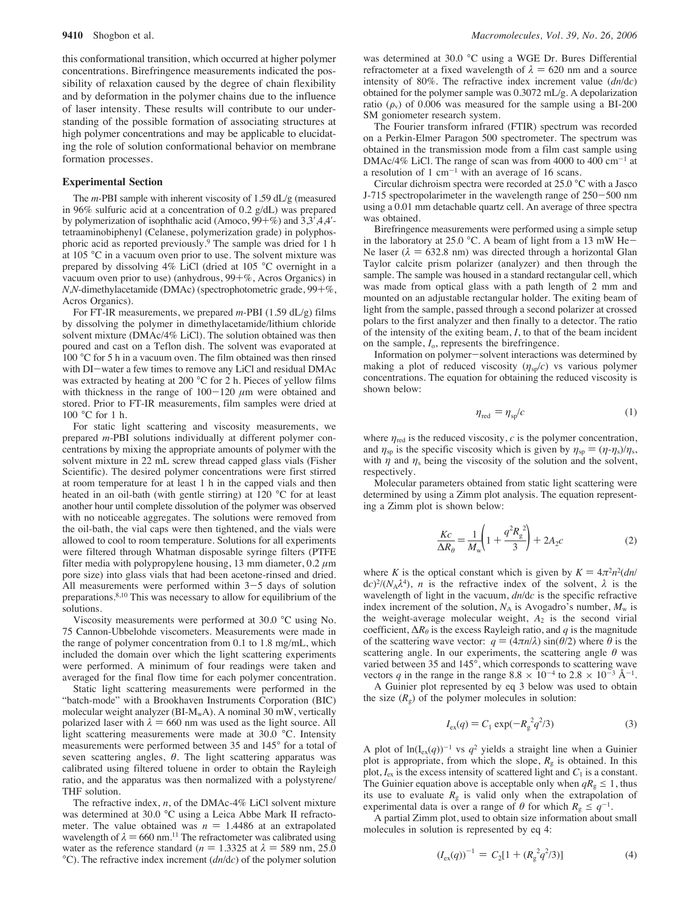this conformational transition, which occurred at higher polymer concentrations. Birefringence measurements indicated the possibility of relaxation caused by the degree of chain flexibility and by deformation in the polymer chains due to the influence of laser intensity. These results will contribute to our understanding of the possible formation of associating structures at high polymer concentrations and may be applicable to elucidating the role of solution conformational behavior on membrane formation processes.

# **Experimental Section**

The *m-*PBI sample with inherent viscosity of 1.59 dL/g (measured in 96% sulfuric acid at a concentration of 0.2 g/dL) was prepared by polymerization of isophthalic acid (Amoco,  $99 + \%$ ) and  $3,3',4,4'$ tetraaminobiphenyl (Celanese, polymerization grade) in polyphosphoric acid as reported previously.9 The sample was dried for 1 h at 105 °C in a vacuum oven prior to use. The solvent mixture was prepared by dissolving 4% LiCl (dried at 105 °C overnight in a vacuum oven prior to use) (anhydrous, 99+%, Acros Organics) in *N,N-*dimethylacetamide (DMAc) (spectrophotometric grade, 99+%, Acros Organics).

For FT-IR measurements, we prepared *m*-PBI (1.59 dL/g) films by dissolving the polymer in dimethylacetamide/lithium chloride solvent mixture (DMAc/4% LiCl). The solution obtained was then poured and cast on a Teflon dish. The solvent was evaporated at 100 °C for 5 h in a vacuum oven. The film obtained was then rinsed with DI-water a few times to remove any LiCl and residual DMAc was extracted by heating at 200 °C for 2 h. Pieces of yellow films with thickness in the range of  $100-120 \mu m$  were obtained and stored. Prior to FT-IR measurements, film samples were dried at 100 °C for 1 h.

For static light scattering and viscosity measurements, we prepared *m*-PBI solutions individually at different polymer concentrations by mixing the appropriate amounts of polymer with the solvent mixture in 22 mL screw thread capped glass vials (Fisher Scientific). The desired polymer concentrations were first stirred at room temperature for at least 1 h in the capped vials and then heated in an oil-bath (with gentle stirring) at 120 °C for at least another hour until complete dissolution of the polymer was observed with no noticeable aggregates. The solutions were removed from the oil-bath, the vial caps were then tightened, and the vials were allowed to cool to room temperature. Solutions for all experiments were filtered through Whatman disposable syringe filters (PTFE filter media with polypropylene housing, 13 mm diameter,  $0.2 \mu m$ pore size) into glass vials that had been acetone-rinsed and dried. All measurements were performed within  $3-5$  days of solution preparations.8,10 This was necessary to allow for equilibrium of the solutions.

Viscosity measurements were performed at 30.0 °C using No. 75 Cannon-Ubbelohde viscometers. Measurements were made in the range of polymer concentration from 0.1 to 1.8 mg/mL, which included the domain over which the light scattering experiments were performed. A minimum of four readings were taken and averaged for the final flow time for each polymer concentration.

Static light scattering measurements were performed in the "batch-mode" with a Brookhaven Instruments Corporation (BIC) molecular weight analyzer ( $BI-M_wA$ ). A nominal 30 mW, vertically polarized laser with  $\lambda = 660$  nm was used as the light source. All light scattering measurements were made at 30.0 °C. Intensity measurements were performed between 35 and 145° for a total of seven scattering angles,  $\theta$ . The light scattering apparatus was calibrated using filtered toluene in order to obtain the Rayleigh ratio, and the apparatus was then normalized with a polystyrene/ THF solution.

The refractive index, *n*, of the DMAc-4% LiCl solvent mixture was determined at 30.0 °C using a Leica Abbe Mark II refractometer. The value obtained was  $n = 1.4486$  at an extrapolated wavelength of  $\lambda = 660$  nm.<sup>11</sup> The refractometer was calibrated using water as the reference standard ( $n = 1.3325$  at  $\lambda = 589$  nm, 25.0 °C). The refractive index increment (*dn*/d*c*) of the polymer solution

was determined at 30.0 °C using a WGE Dr. Bures Differential refractometer at a fixed wavelength of  $\lambda = 620$  nm and a source intensity of 80%. The refractive index increment value (*dn*/d*c*) obtained for the polymer sample was 0.3072 mL/g. A depolarization ratio ( $\rho_v$ ) of 0.006 was measured for the sample using a BI-200 SM goniometer research system.

The Fourier transform infrared (FTIR) spectrum was recorded on a Perkin-Elmer Paragon 500 spectrometer. The spectrum was obtained in the transmission mode from a film cast sample using DMAc/4% LiCl. The range of scan was from 4000 to 400 cm<sup>-1</sup> at a resolution of 1 cm<sup>-1</sup> with an average of 16 scans.

Circular dichroism spectra were recorded at 25.0 °C with a Jasco J-715 spectropolarimeter in the wavelength range of 250-500 nm using a 0.01 mm detachable quartz cell. An average of three spectra was obtained.

Birefringence measurements were performed using a simple setup in the laboratory at 25.0 °C. A beam of light from a 13 mW He-Ne laser ( $\lambda = 632.8$  nm) was directed through a horizontal Glan Taylor calcite prism polarizer (analyzer) and then through the sample. The sample was housed in a standard rectangular cell, which was made from optical glass with a path length of 2 mm and mounted on an adjustable rectangular holder. The exiting beam of light from the sample, passed through a second polarizer at crossed polars to the first analyzer and then finally to a detector. The ratio of the intensity of the exiting beam, *I*, to that of the beam incident on the sample, *I*o, represents the birefringence.

Information on polymer-solvent interactions was determined by making a plot of reduced viscosity  $(\eta_{s}^{\circ}/c)$  vs various polymer concentrations. The equation for obtaining the reduced viscosity is shown below:

$$
\eta_{\text{red}} = \eta_{\text{sp}}/c \tag{1}
$$

where  $\eta_{\text{red}}$  is the reduced viscosity, *c* is the polymer concentration, and  $\eta_{sp}$  is the specific viscosity which is given by  $\eta_{sp} = (\eta - \eta_s)/\eta_s$ , with  $\eta$  and  $\eta_s$  being the viscosity of the solution and the solvent, respectively.

Molecular parameters obtained from static light scattering were determined by using a Zimm plot analysis. The equation representing a Zimm plot is shown below:

$$
\frac{Kc}{\Delta R_{\theta}} = \frac{1}{M_{\text{w}}} \left( 1 + \frac{q^2 R_{\text{g}}^2}{3} \right) + 2A_2 c \tag{2}
$$

where *K* is the optical constant which is given by  $K = 4\pi^2 n^2(dn/\sqrt{m})$  $dc$ <sup>2</sup>/( $N_A\lambda^4$ ), *n* is the refractive index of the solvent,  $\lambda$  is the wavelength of light in the vacuum, *dn*/d*c* is the specific refractive index increment of the solution,  $N_A$  is Avogadro's number,  $M_w$  is the weight-average molecular weight,  $A_2$  is the second virial coefficient,  $\Delta R_{\theta}$  is the excess Rayleigh ratio, and *q* is the magnitude of the scattering wave vector:  $q = (4\pi n/\lambda) \sin(\theta/2)$  where  $\theta$  is the scattering angle. In our experiments, the scattering angle  $\theta$  was varied between 35 and 145°, which corresponds to scattering wave vectors *q* in the range in the range  $8.8 \times 10^{-4}$  to  $2.8 \times 10^{-3}$  Å<sup>-1</sup>.

A Guinier plot represented by eq 3 below was used to obtain the size  $(R<sub>g</sub>)$  of the polymer molecules in solution:

$$
I_{\rm ex}(q) = C_1 \exp(-R_g^2 q^2/3)
$$
 (3)

A plot of  $ln(I_{ex}(q))^{-1}$  vs  $q^2$  yields a straight line when a Guinier plot is appropriate, from which the slope,  $R_g$  is obtained. In this plot,  $I_{\text{ex}}$  is the excess intensity of scattered light and  $C_1$  is a constant. The Guinier equation above is acceptable only when  $qR_g \leq 1$ , thus its use to evaluate  $R_{g}$  is valid only when the extrapolation of experimental data is over a range of  $\theta$  for which  $R_g \leq q^{-1}$ .

A partial Zimm plot, used to obtain size information about small molecules in solution is represented by eq 4:

$$
(I_{\rm ex}(q))^{-1} = C_2[1 + (R_g^2 q^2/3)] \tag{4}
$$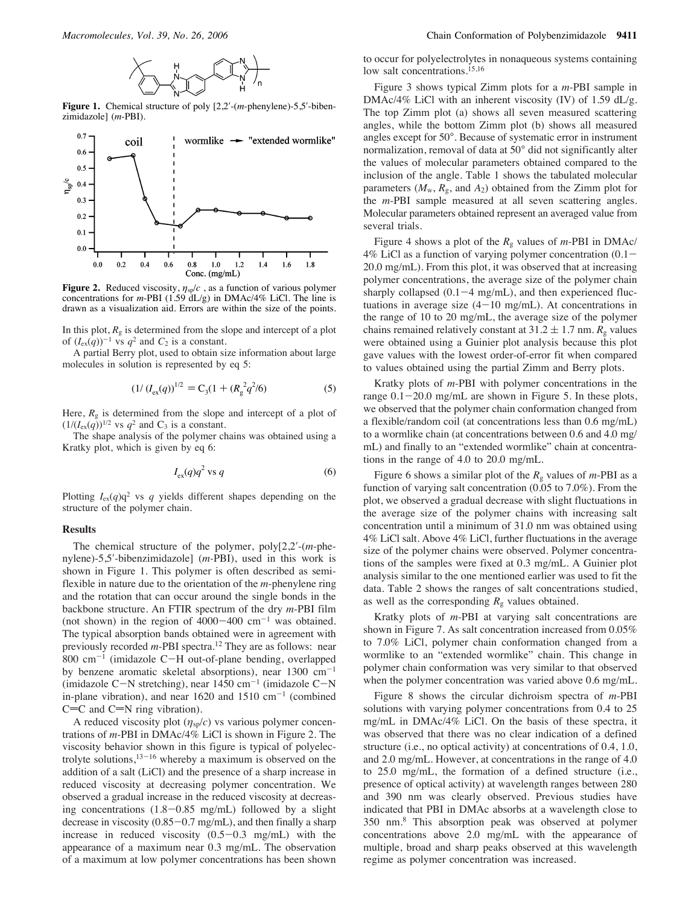

Figure 1. Chemical structure of poly  $[2,2'$ -(*m*-phenylene)-5,5'-bibenzimidazole] (*m*-PBI).



**Figure 2.** Reduced viscosity,  $\eta_{sp}/c$ , as a function of various polymer concentrations for *m*-PBI (1.59 dL/g) in DMAc/4% LiCl. The line is drawn as a visualization aid. Errors are within the size of the points.

In this plot,  $R_g$  is determined from the slope and intercept of a plot of  $(I_{ex}(q))^{-1}$  vs  $q^2$  and  $C_2$  is a constant.

A partial Berry plot, used to obtain size information about large molecules in solution is represented by eq 5:

$$
(1/\left(I_{\text{ex}}(q)\right)^{1/2} = C_3(1 + \left(R_g^2 q^2 / 6\right))\tag{5}
$$

Here,  $R_g$  is determined from the slope and intercept of a plot of  $(1/(I_{\text{ex}}(q))^{1/2}$  vs  $q^2$  and C<sub>3</sub> is a constant.

The shape analysis of the polymer chains was obtained using a Kratky plot, which is given by eq 6:

$$
I_{\rm ex}(q)q^2 \text{ vs } q \tag{6}
$$

Plotting  $I_{ex}(q)q^2$  vs *q* yields different shapes depending on the structure of the polymer chain.

#### **Results**

The chemical structure of the polymer,  $poly[2,2]$ - $(m$ -phenylene)-5,5!-bibenzimidazole] (*m-*PBI), used in this work is shown in Figure 1. This polymer is often described as semiflexible in nature due to the orientation of the *m*-phenylene ring and the rotation that can occur around the single bonds in the backbone structure. An FTIR spectrum of the dry *m*-PBI film (not shown) in the region of  $4000-400$  cm<sup>-1</sup> was obtained. The typical absorption bands obtained were in agreement with previously recorded *m*-PBI spectra.<sup>12</sup> They are as follows: near  $800 \text{ cm}^{-1}$  (imidazole C-H out-of-plane bending, overlapped by benzene aromatic skeletal absorptions), near  $1300 \text{ cm}^{-1}$ (imidazole C-N stretching), near  $1450 \text{ cm}^{-1}$  (imidazole C-N in-plane vibration), and near 1620 and 1510  $cm^{-1}$  (combined  $C=C$  and  $C=N$  ring vibration).

A reduced viscosity plot  $(\eta_{sp}/c)$  vs various polymer concentrations of *m*-PBI in DMAc/4% LiCl is shown in Figure 2. The viscosity behavior shown in this figure is typical of polyelectrolyte solutions, $13-16$  whereby a maximum is observed on the addition of a salt (LiCl) and the presence of a sharp increase in reduced viscosity at decreasing polymer concentration. We observed a gradual increase in the reduced viscosity at decreasing concentrations (1.8-0.85 mg/mL) followed by a slight decrease in viscosity (0.85-0.7 mg/mL), and then finally a sharp increase in reduced viscosity  $(0.5-0.3 \text{ mg/mL})$  with the appearance of a maximum near 0.3 mg/mL. The observation of a maximum at low polymer concentrations has been shown

to occur for polyelectrolytes in nonaqueous systems containing low salt concentrations.15,16

Figure 3 shows typical Zimm plots for a *m*-PBI sample in DMAc/4% LiCl with an inherent viscosity (IV) of 1.59 dL/g. The top Zimm plot (a) shows all seven measured scattering angles, while the bottom Zimm plot (b) shows all measured angles except for 50°. Because of systematic error in instrument normalization, removal of data at 50° did not significantly alter the values of molecular parameters obtained compared to the inclusion of the angle. Table 1 shows the tabulated molecular parameters  $(M_w, R_g, \text{ and } A_2)$  obtained from the Zimm plot for the *m*-PBI sample measured at all seven scattering angles. Molecular parameters obtained represent an averaged value from several trials.

Figure 4 shows a plot of the *R*<sup>g</sup> values of *m*-PBI in DMAc/  $4\%$  LiCl as a function of varying polymer concentration  $(0.1 -$ 20.0 mg/mL). From this plot, it was observed that at increasing polymer concentrations, the average size of the polymer chain sharply collapsed  $(0.1-4$  mg/mL), and then experienced fluctuations in average size  $(4-10 \text{ mg/mL})$ . At concentrations in the range of 10 to 20 mg/mL, the average size of the polymer chains remained relatively constant at  $31.2 \pm 1.7$  nm.  $R_g$  values were obtained using a Guinier plot analysis because this plot gave values with the lowest order-of-error fit when compared to values obtained using the partial Zimm and Berry plots.

Kratky plots of *m*-PBI with polymer concentrations in the range  $0.1-20.0$  mg/mL are shown in Figure 5. In these plots, we observed that the polymer chain conformation changed from a flexible/random coil (at concentrations less than 0.6 mg/mL) to a wormlike chain (at concentrations between 0.6 and 4.0 mg/ mL) and finally to an "extended wormlike" chain at concentrations in the range of 4.0 to 20.0 mg/mL.

Figure 6 shows a similar plot of the  $R_g$  values of *m*-PBI as a function of varying salt concentration (0.05 to 7.0%). From the plot, we observed a gradual decrease with slight fluctuations in the average size of the polymer chains with increasing salt concentration until a minimum of 31.0 nm was obtained using 4% LiCl salt. Above 4% LiCl, further fluctuations in the average size of the polymer chains were observed. Polymer concentrations of the samples were fixed at 0.3 mg/mL. A Guinier plot analysis similar to the one mentioned earlier was used to fit the data. Table 2 shows the ranges of salt concentrations studied, as well as the corresponding  $R<sub>g</sub>$  values obtained.

Kratky plots of *m*-PBI at varying salt concentrations are shown in Figure 7. As salt concentration increased from 0.05% to 7.0% LiCl, polymer chain conformation changed from a wormlike to an "extended wormlike" chain. This change in polymer chain conformation was very similar to that observed when the polymer concentration was varied above 0.6 mg/mL.

Figure 8 shows the circular dichroism spectra of *m*-PBI solutions with varying polymer concentrations from 0.4 to 25 mg/mL in DMAc/4% LiCl. On the basis of these spectra, it was observed that there was no clear indication of a defined structure (i.e., no optical activity) at concentrations of 0.4, 1.0, and 2.0 mg/mL. However, at concentrations in the range of 4.0 to 25.0 mg/mL, the formation of a defined structure (i.e., presence of optical activity) at wavelength ranges between 280 and 390 nm was clearly observed. Previous studies have indicated that PBI in DMAc absorbs at a wavelength close to 350 nm.8 This absorption peak was observed at polymer concentrations above 2.0 mg/mL with the appearance of multiple, broad and sharp peaks observed at this wavelength regime as polymer concentration was increased.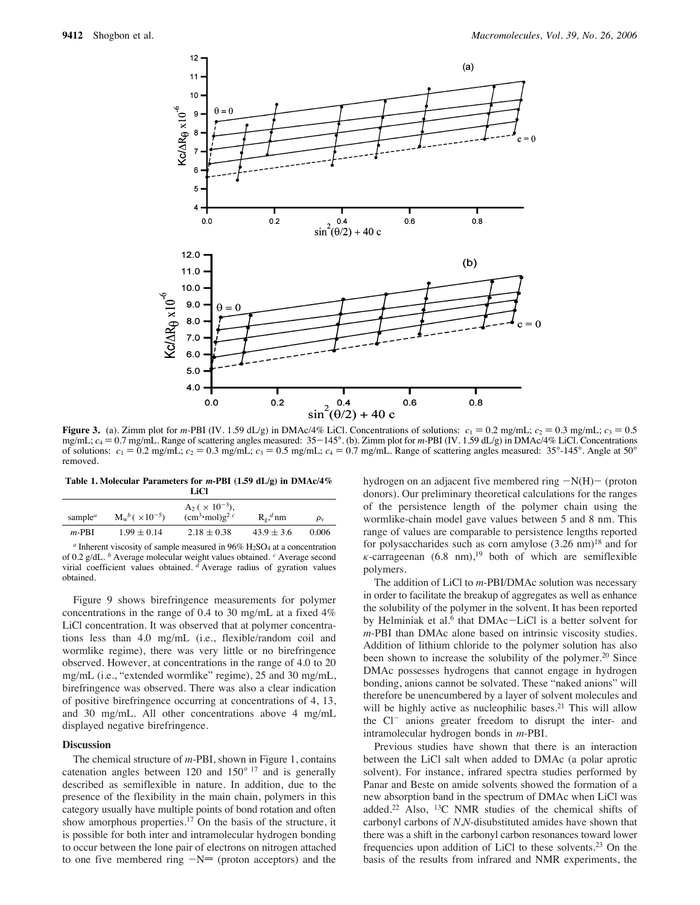

**Figure 3.** (a). Zimm plot for *m*-PBI (IV. 1.59 dL/g) in DMAc/4% LiCl. Concentrations of solutions:  $c_1 = 0.2$  mg/mL;  $c_2 = 0.3$  mg/mL;  $c_3 = 0.5$ mg/mL;  $c_4 = 0.7$  mg/mL. Range of scattering angles measured:  $35-145^\circ$ . (b). Zimm plot for *m*-PBI (IV. 1.59 dL/g) in DMAc/4% LiCl. Concentrations of solutions:  $c_1 = 0.2$  mg/mL;  $c_2 = 0.3$  mg/mL;  $c_3 = 0.5$  mg/mL;  $c_4 = 0.7$  mg/mL. Range of scattering angles measured:  $35^{\circ}$ -145°. Angle at 50° removed.

**Table 1. Molecular Parameters for** *m***-PBI (1.59 dL/g) in DMAc/4% LiCl**

| ------                           |                                  |                                                         |                 |                |
|----------------------------------|----------------------------------|---------------------------------------------------------|-----------------|----------------|
| sample <sup><math>a</math></sup> | $M_{w}^{b}$ ( $\times 10^{-5}$ ) | $A_2$ ( $\times$ 10 <sup>-3</sup> ),<br>$(cm3·mol)g2 c$ | $R_e$ , $^d$ nm | $\rho_{\rm v}$ |
| $m-PBI$                          | $1.99 \pm 0.14$                  | $2.18 \pm 0.38$                                         | $43.9 \pm 3.6$  | 0.006          |

 $a$  Inherent viscosity of sample measured in  $96\%$  H<sub>2</sub>SO<sub>4</sub> at a concentration of 0.2 g/dL. *<sup>b</sup>* Average molecular weight values obtained. *<sup>c</sup>* Average second virial coefficient values obtained. *<sup>d</sup>* Average radius of gyration values obtained.

Figure 9 shows birefringence measurements for polymer concentrations in the range of 0.4 to 30 mg/mL at a fixed 4% LiCl concentration. It was observed that at polymer concentrations less than 4.0 mg/mL (i.e., flexible/random coil and wormlike regime), there was very little or no birefringence observed. However, at concentrations in the range of 4.0 to 20 mg/mL (i.e., "extended wormlike" regime), 25 and 30 mg/mL, birefringence was observed. There was also a clear indication of positive birefringence occurring at concentrations of 4, 13, and 30 mg/mL. All other concentrations above 4 mg/mL displayed negative birefringence.

#### **Discussion**

The chemical structure of *m*-PBI, shown in Figure 1, contains catenation angles between 120 and  $150^{\circ}$  17 and is generally described as semiflexible in nature. In addition, due to the presence of the flexibility in the main chain, polymers in this category usually have multiple points of bond rotation and often show amorphous properties.<sup>17</sup> On the basis of the structure, it is possible for both inter and intramolecular hydrogen bonding to occur between the lone pair of electrons on nitrogen attached to one five membered ring  $-N=$  (proton acceptors) and the

hydrogen on an adjacent five membered ring  $-N(H)$  (proton donors). Our preliminary theoretical calculations for the ranges of the persistence length of the polymer chain using the wormlike-chain model gave values between 5 and 8 nm. This range of values are comparable to persistence lengths reported for polysaccharides such as corn amylose  $(3.26 \text{ nm})^{18}$  and for  $\kappa$ -carrageenan (6.8 nm),<sup>19</sup> both of which are semiflexible polymers.

The addition of LiCl to *m*-PBI/DMAc solution was necessary in order to facilitate the breakup of aggregates as well as enhance the solubility of the polymer in the solvent. It has been reported by Helminiak et al.<sup>6</sup> that DMAc-LiCl is a better solvent for *m*-PBI than DMAc alone based on intrinsic viscosity studies. Addition of lithium chloride to the polymer solution has also been shown to increase the solubility of the polymer.<sup>20</sup> Since DMAc possesses hydrogens that cannot engage in hydrogen bonding, anions cannot be solvated. These "naked anions" will therefore be unencumbered by a layer of solvent molecules and will be highly active as nucleophilic bases.<sup>21</sup> This will allow the Cl<sup>-</sup> anions greater freedom to disrupt the inter- and intramolecular hydrogen bonds in *m*-PBI.

Previous studies have shown that there is an interaction between the LiCl salt when added to DMAc (a polar aprotic solvent). For instance, infrared spectra studies performed by Panar and Beste on amide solvents showed the formation of a new absorption band in the spectrum of DMAc when LiCl was added.22 Also, 13C NMR studies of the chemical shifts of carbonyl carbons of *N*,*N*-disubstituted amides have shown that there was a shift in the carbonyl carbon resonances toward lower frequencies upon addition of LiCl to these solvents.23 On the basis of the results from infrared and NMR experiments, the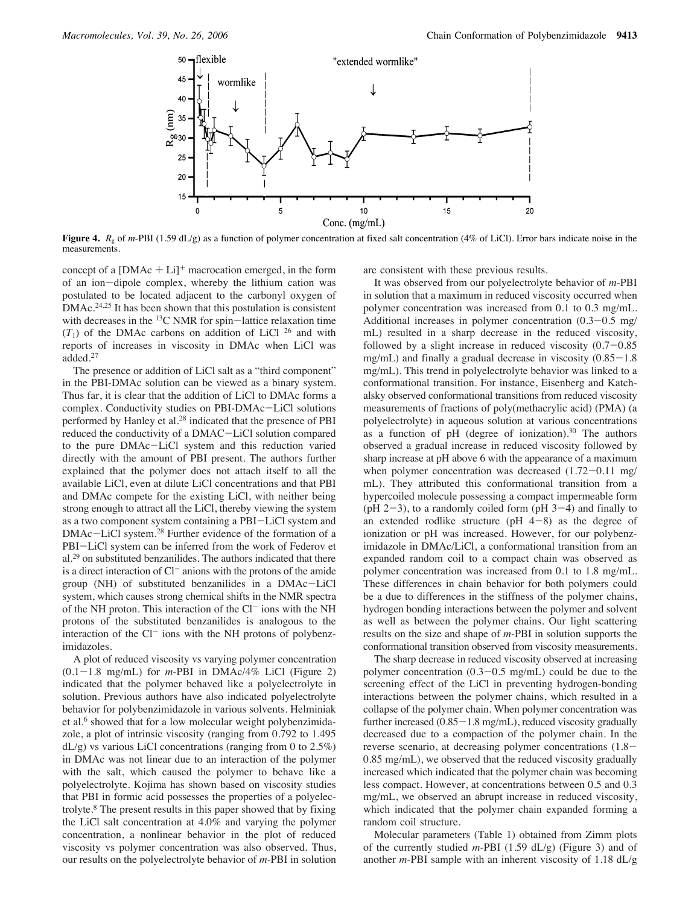

**Figure 4.**  $R_g$  of *m*-PBI (1.59 dL/g) as a function of polymer concentration at fixed salt concentration (4% of LiCl). Error bars indicate noise in the measurements.

concept of a  $[DMAc + Li]$ <sup>+</sup> macrocation emerged, in the form of an ion-dipole complex, whereby the lithium cation was postulated to be located adjacent to the carbonyl oxygen of DMAc.<sup>24,25</sup> It has been shown that this postulation is consistent with decreases in the <sup>13</sup>C NMR for spin-lattice relaxation time  $(T_1)$  of the DMAc carbons on addition of LiCl <sup>26</sup> and with reports of increases in viscosity in DMAc when LiCl was added.27

The presence or addition of LiCl salt as a "third component" in the PBI-DMAc solution can be viewed as a binary system. Thus far, it is clear that the addition of LiCl to DMAc forms a complex. Conductivity studies on PBI-DMAc-LiCl solutions performed by Hanley et al.28 indicated that the presence of PBI reduced the conductivity of a DMAC-LiCl solution compared to the pure DMAc-LiCl system and this reduction varied directly with the amount of PBI present. The authors further explained that the polymer does not attach itself to all the available LiCl, even at dilute LiCl concentrations and that PBI and DMAc compete for the existing LiCl, with neither being strong enough to attract all the LiCl, thereby viewing the system as a two component system containing a PBI-LiCl system and DMAc-LiCl system.28 Further evidence of the formation of a PBI-LiCl system can be inferred from the work of Federov et al.29 on substituted benzanilides. The authors indicated that there is a direct interaction of Cl<sup>-</sup> anions with the protons of the amide group (NH) of substituted benzanilides in a DMAc-LiCl system, which causes strong chemical shifts in the NMR spectra of the NH proton. This interaction of the  $Cl^-$  ions with the NH protons of the substituted benzanilides is analogous to the interaction of the  $Cl^-$  ions with the NH protons of polybenzimidazoles.

A plot of reduced viscosity vs varying polymer concentration  $(0.1-1.8 \text{ mg/mL})$  for *m*-PBI in DMAc/4% LiCl (Figure 2) indicated that the polymer behaved like a polyelectrolyte in solution. Previous authors have also indicated polyelectrolyte behavior for polybenzimidazole in various solvents. Helminiak et al.<sup>6</sup> showed that for a low molecular weight polybenzimidazole, a plot of intrinsic viscosity (ranging from 0.792 to 1.495  $dL/g$ ) vs various LiCl concentrations (ranging from 0 to 2.5%) in DMAc was not linear due to an interaction of the polymer with the salt, which caused the polymer to behave like a polyelectrolyte. Kojima has shown based on viscosity studies that PBI in formic acid possesses the properties of a polyelectrolyte.8 The present results in this paper showed that by fixing the LiCl salt concentration at 4.0% and varying the polymer concentration, a nonlinear behavior in the plot of reduced viscosity vs polymer concentration was also observed. Thus, our results on the polyelectrolyte behavior of *m*-PBI in solution

are consistent with these previous results.

It was observed from our polyelectrolyte behavior of *m*-PBI in solution that a maximum in reduced viscosity occurred when polymer concentration was increased from 0.1 to 0.3 mg/mL. Additional increases in polymer concentration (0.3-0.5 mg/ mL) resulted in a sharp decrease in the reduced viscosity, followed by a slight increase in reduced viscosity  $(0.7-0.85)$ mg/mL) and finally a gradual decrease in viscosity  $(0.85-1.8)$ mg/mL). This trend in polyelectrolyte behavior was linked to a conformational transition. For instance, Eisenberg and Katchalsky observed conformational transitions from reduced viscosity measurements of fractions of poly(methacrylic acid) (PMA) (a polyelectrolyte) in aqueous solution at various concentrations as a function of pH (degree of ionization).<sup>30</sup> The authors observed a gradual increase in reduced viscosity followed by sharp increase at pH above 6 with the appearance of a maximum when polymer concentration was decreased  $(1.72-0.11 \text{ mg}/)$ mL). They attributed this conformational transition from a hypercoiled molecule possessing a compact impermeable form (pH  $2-3$ ), to a randomly coiled form (pH  $3-4$ ) and finally to an extended rodlike structure ( $pH$   $4-8$ ) as the degree of ionization or pH was increased. However, for our polybenzimidazole in DMAc/LiCl, a conformational transition from an expanded random coil to a compact chain was observed as polymer concentration was increased from 0.1 to 1.8 mg/mL. These differences in chain behavior for both polymers could be a due to differences in the stiffness of the polymer chains, hydrogen bonding interactions between the polymer and solvent as well as between the polymer chains. Our light scattering results on the size and shape of *m*-PBI in solution supports the conformational transition observed from viscosity measurements.

The sharp decrease in reduced viscosity observed at increasing polymer concentration  $(0.3-0.5 \text{ mg/mL})$  could be due to the screening effect of the LiCl in preventing hydrogen-bonding interactions between the polymer chains, which resulted in a collapse of the polymer chain. When polymer concentration was further increased (0.85-1.8 mg/mL), reduced viscosity gradually decreased due to a compaction of the polymer chain. In the reverse scenario, at decreasing polymer concentrations (1.8- 0.85 mg/mL), we observed that the reduced viscosity gradually increased which indicated that the polymer chain was becoming less compact. However, at concentrations between 0.5 and 0.3 mg/mL, we observed an abrupt increase in reduced viscosity, which indicated that the polymer chain expanded forming a random coil structure.

Molecular parameters (Table 1) obtained from Zimm plots of the currently studied *m*-PBI (1.59 dL/g) (Figure 3) and of another *m*-PBI sample with an inherent viscosity of 1.18 dL/g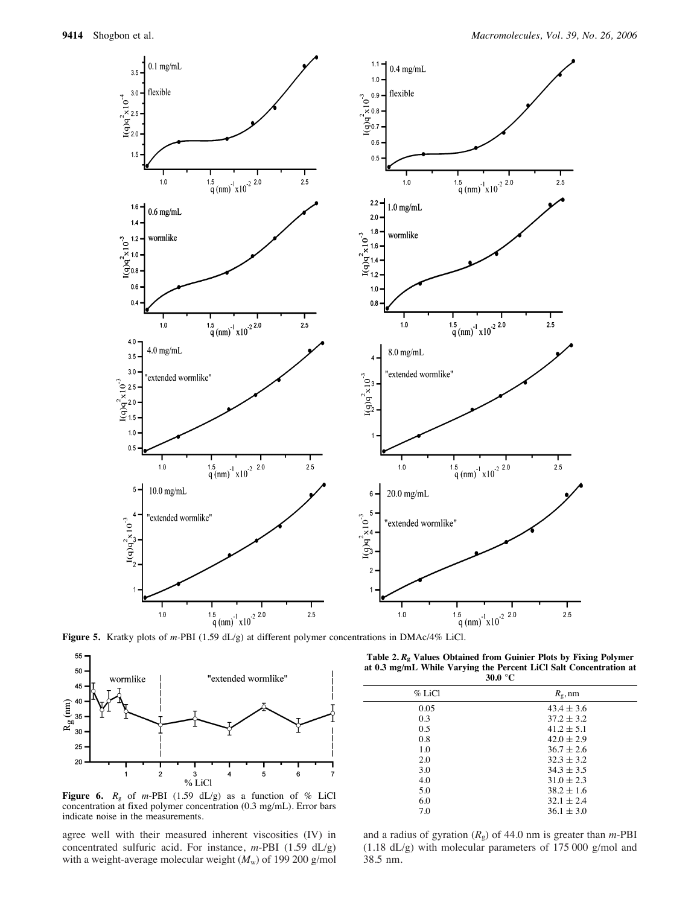

**Figure 5.** Kratky plots of *m-*PBI (1.59 dL/g) at different polymer concentrations in DMAc/4% LiCl.



**Figure 6.**  $R_g$  of *m*-PBI (1.59 dL/g) as a function of % LiCl concentration at fixed polymer concentration (0.3 mg/mL). Error bars indicate noise in the measurements.

agree well with their measured inherent viscosities (IV) in concentrated sulfuric acid. For instance, *m*-PBI (1.59 dL/g) with a weight-average molecular weight  $(M_w)$  of 199 200 g/mol

**Table 2.** *R***<sup>g</sup> Values Obtained from Guinier Plots by Fixing Polymer at 0.3 mg/mL While Varying the Percent LiCl Salt Concentration at 30.0** °**C**

| $\cdots$  |                  |  |
|-----------|------------------|--|
| $\%$ LiCl | $R_{\rm g}$ , nm |  |
| 0.05      | $43.4 \pm 3.6$   |  |
| 0.3       | $37.2 \pm 3.2$   |  |
| 0.5       | $41.2 \pm 5.1$   |  |
| 0.8       | $42.0 \pm 2.9$   |  |
| 1.0       | $36.7 \pm 2.6$   |  |
| 2.0       | $32.3 \pm 3.2$   |  |
| 3.0       | $34.3 + 3.5$     |  |
| 4.0       | $31.0 \pm 2.3$   |  |
| 5.0       | $38.2 \pm 1.6$   |  |
| 6.0       | $32.1 \pm 2.4$   |  |
| 7.0       | $36.1 \pm 3.0$   |  |
|           |                  |  |

and a radius of gyration (*R*g) of 44.0 nm is greater than *m*-PBI (1.18 dL/g) with molecular parameters of 175 000 g/mol and 38.5 nm.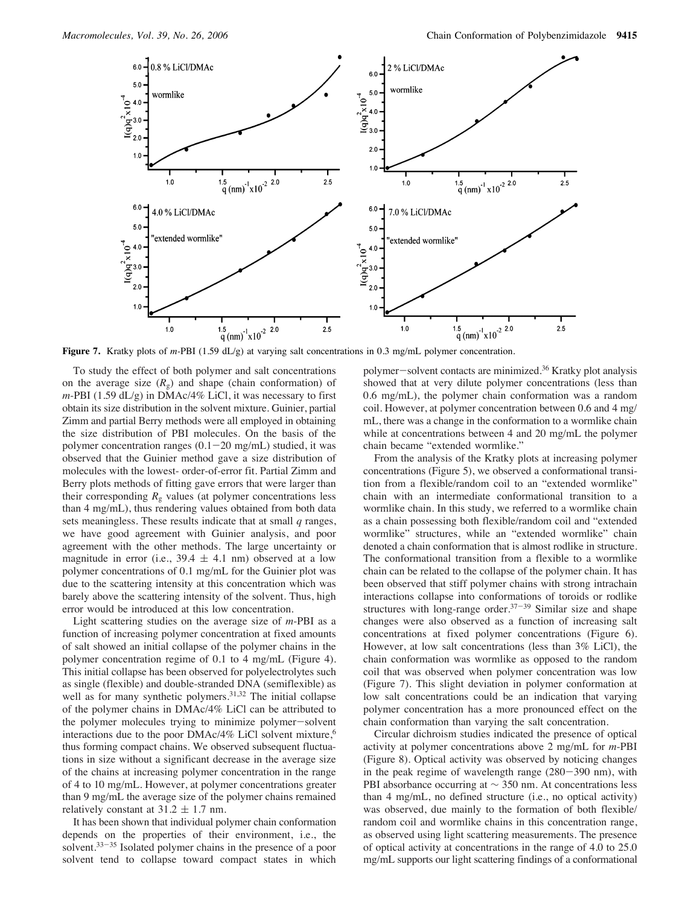

**Figure 7.** Kratky plots of *m-*PBI (1.59 dL/g) at varying salt concentrations in 0.3 mg/mL polymer concentration.

To study the effect of both polymer and salt concentrations on the average size  $(R<sub>g</sub>)$  and shape (chain conformation) of *m*-PBI (1.59 dL/g) in DMAc/4% LiCl, it was necessary to first obtain its size distribution in the solvent mixture. Guinier, partial Zimm and partial Berry methods were all employed in obtaining the size distribution of PBI molecules. On the basis of the polymer concentration ranges  $(0.1-20 \text{ mg/mL})$  studied, it was observed that the Guinier method gave a size distribution of molecules with the lowest- order-of-error fit. Partial Zimm and Berry plots methods of fitting gave errors that were larger than their corresponding  $R<sub>g</sub>$  values (at polymer concentrations less than 4 mg/mL), thus rendering values obtained from both data sets meaningless. These results indicate that at small *q* ranges, we have good agreement with Guinier analysis, and poor agreement with the other methods. The large uncertainty or magnitude in error (i.e.,  $39.4 \pm 4.1$  nm) observed at a low polymer concentrations of 0.1 mg/mL for the Guinier plot was due to the scattering intensity at this concentration which was barely above the scattering intensity of the solvent. Thus, high error would be introduced at this low concentration.

Light scattering studies on the average size of *m*-PBI as a function of increasing polymer concentration at fixed amounts of salt showed an initial collapse of the polymer chains in the polymer concentration regime of 0.1 to 4 mg/mL (Figure 4). This initial collapse has been observed for polyelectrolytes such as single (flexible) and double-stranded DNA (semiflexible) as well as for many synthetic polymers.<sup>31,32</sup> The initial collapse of the polymer chains in DMAc/4% LiCl can be attributed to the polymer molecules trying to minimize polymer-solvent interactions due to the poor DMAc/4% LiCl solvent mixture,<sup>6</sup> thus forming compact chains. We observed subsequent fluctuations in size without a significant decrease in the average size of the chains at increasing polymer concentration in the range of 4 to 10 mg/mL. However, at polymer concentrations greater than 9 mg/mL the average size of the polymer chains remained relatively constant at  $31.2 \pm 1.7$  nm.

It has been shown that individual polymer chain conformation depends on the properties of their environment, i.e., the solvent.<sup>33–35</sup> Isolated polymer chains in the presence of a poor solvent tend to collapse toward compact states in which

polymer-solvent contacts are minimized.36 Kratky plot analysis showed that at very dilute polymer concentrations (less than 0.6 mg/mL), the polymer chain conformation was a random coil. However, at polymer concentration between 0.6 and 4 mg/ mL, there was a change in the conformation to a wormlike chain while at concentrations between 4 and 20 mg/mL the polymer chain became "extended wormlike."

From the analysis of the Kratky plots at increasing polymer concentrations (Figure 5), we observed a conformational transition from a flexible/random coil to an "extended wormlike" chain with an intermediate conformational transition to a wormlike chain. In this study, we referred to a wormlike chain as a chain possessing both flexible/random coil and "extended wormlike" structures, while an "extended wormlike" chain denoted a chain conformation that is almost rodlike in structure. The conformational transition from a flexible to a wormlike chain can be related to the collapse of the polymer chain. It has been observed that stiff polymer chains with strong intrachain interactions collapse into conformations of toroids or rodlike structures with long-range order. $37-39$  Similar size and shape changes were also observed as a function of increasing salt concentrations at fixed polymer concentrations (Figure 6). However, at low salt concentrations (less than 3% LiCl), the chain conformation was wormlike as opposed to the random coil that was observed when polymer concentration was low (Figure 7). This slight deviation in polymer conformation at low salt concentrations could be an indication that varying polymer concentration has a more pronounced effect on the chain conformation than varying the salt concentration.

Circular dichroism studies indicated the presence of optical activity at polymer concentrations above 2 mg/mL for *m*-PBI (Figure 8). Optical activity was observed by noticing changes in the peak regime of wavelength range (280-390 nm), with PBI absorbance occurring at ∼ 350 nm. At concentrations less than 4 mg/mL, no defined structure (i.e., no optical activity) was observed, due mainly to the formation of both flexible/ random coil and wormlike chains in this concentration range, as observed using light scattering measurements. The presence of optical activity at concentrations in the range of 4.0 to 25.0 mg/mL supports our light scattering findings of a conformational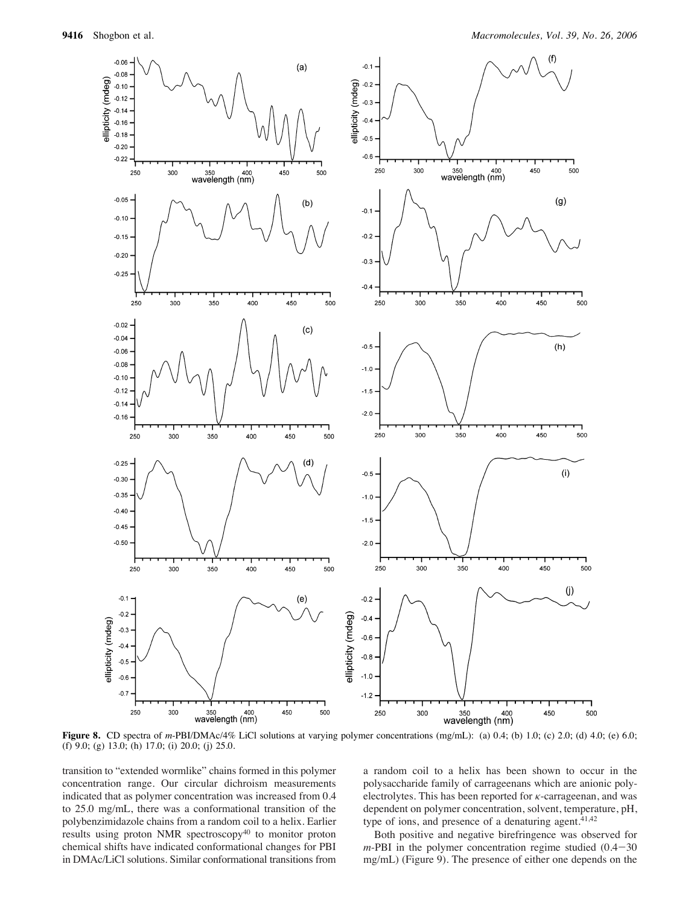

**Figure 8.** CD spectra of *m*-PBI/DMAc/4% LiCl solutions at varying polymer concentrations (mg/mL): (a) 0.4; (b) 1.0; (c) 2.0; (d) 4.0; (e) 6.0; (f) 9.0; (g) 13.0; (h) 17.0; (i) 20.0; (j) 25.0.

transition to "extended wormlike" chains formed in this polymer concentration range. Our circular dichroism measurements indicated that as polymer concentration was increased from 0.4 to 25.0 mg/mL, there was a conformational transition of the polybenzimidazole chains from a random coil to a helix. Earlier results using proton NMR spectroscopy<sup>40</sup> to monitor proton chemical shifts have indicated conformational changes for PBI in DMAc/LiCl solutions. Similar conformational transitions from a random coil to a helix has been shown to occur in the polysaccharide family of carrageenans which are anionic polyelectrolytes. This has been reported for  $\kappa$ -carrageenan, and was dependent on polymer concentration, solvent, temperature, pH, type of ions, and presence of a denaturing agent. $41,42$ 

Both positive and negative birefringence was observed for  $m$ -PBI in the polymer concentration regime studied  $(0.4-30)$ mg/mL) (Figure 9). The presence of either one depends on the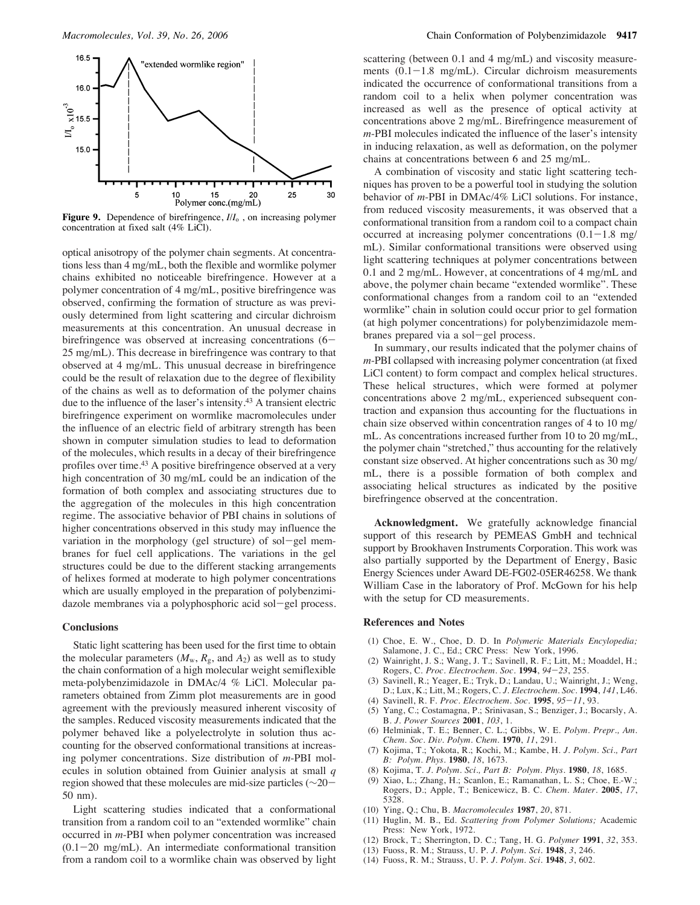

**Figure 9.** Dependence of birefringence,  $I/I_0$ , on increasing polymer concentration at fixed salt (4% LiCl).

optical anisotropy of the polymer chain segments. At concentrations less than 4 mg/mL, both the flexible and wormlike polymer chains exhibited no noticeable birefringence. However at a polymer concentration of 4 mg/mL, positive birefringence was observed, confirming the formation of structure as was previously determined from light scattering and circular dichroism measurements at this concentration. An unusual decrease in birefringence was observed at increasing concentrations (6– 25 mg/mL). This decrease in birefringence was contrary to that observed at 4 mg/mL. This unusual decrease in birefringence could be the result of relaxation due to the degree of flexibility of the chains as well as to deformation of the polymer chains due to the influence of the laser's intensity.43 A transient electric birefringence experiment on wormlike macromolecules under the influence of an electric field of arbitrary strength has been shown in computer simulation studies to lead to deformation of the molecules, which results in a decay of their birefringence profiles over time.<sup>43</sup> A positive birefringence observed at a very high concentration of 30 mg/mL could be an indication of the formation of both complex and associating structures due to the aggregation of the molecules in this high concentration regime. The associative behavior of PBI chains in solutions of higher concentrations observed in this study may influence the variation in the morphology (gel structure) of sol-gel membranes for fuel cell applications. The variations in the gel structures could be due to the different stacking arrangements of helixes formed at moderate to high polymer concentrations which are usually employed in the preparation of polybenzimidazole membranes via a polyphosphoric acid sol-gel process.

# **Conclusions**

Static light scattering has been used for the first time to obtain the molecular parameters  $(M_w, R_g, \text{ and } A_2)$  as well as to study the chain conformation of a high molecular weight semiflexible meta-polybenzimidazole in DMAc/4 % LiCl. Molecular parameters obtained from Zimm plot measurements are in good agreement with the previously measured inherent viscosity of the samples. Reduced viscosity measurements indicated that the polymer behaved like a polyelectrolyte in solution thus accounting for the observed conformational transitions at increasing polymer concentrations. Size distribution of *m*-PBI molecules in solution obtained from Guinier analysis at small *q* region showed that these molecules are mid-size particles (∼20- 50 nm).

Light scattering studies indicated that a conformational transition from a random coil to an "extended wormlike" chain occurred in *m*-PBI when polymer concentration was increased  $(0.1-20$  mg/mL). An intermediate conformational transition from a random coil to a wormlike chain was observed by light

scattering (between 0.1 and 4 mg/mL) and viscosity measurements  $(0.1-1.8 \text{ mg/mL})$ . Circular dichroism measurements indicated the occurrence of conformational transitions from a random coil to a helix when polymer concentration was increased as well as the presence of optical activity at concentrations above 2 mg/mL. Birefringence measurement of *m*-PBI molecules indicated the influence of the laser's intensity in inducing relaxation, as well as deformation, on the polymer chains at concentrations between 6 and 25 mg/mL.

A combination of viscosity and static light scattering techniques has proven to be a powerful tool in studying the solution behavior of *m*-PBI in DMAc/4% LiCl solutions. For instance, from reduced viscosity measurements, it was observed that a conformational transition from a random coil to a compact chain occurred at increasing polymer concentrations  $(0.1-1.8 \text{ mg}/$ mL). Similar conformational transitions were observed using light scattering techniques at polymer concentrations between 0.1 and 2 mg/mL. However, at concentrations of 4 mg/mL and above, the polymer chain became "extended wormlike". These conformational changes from a random coil to an "extended wormlike" chain in solution could occur prior to gel formation (at high polymer concentrations) for polybenzimidazole membranes prepared via a sol-gel process.

In summary, our results indicated that the polymer chains of *m*-PBI collapsed with increasing polymer concentration (at fixed LiCl content) to form compact and complex helical structures. These helical structures, which were formed at polymer concentrations above 2 mg/mL, experienced subsequent contraction and expansion thus accounting for the fluctuations in chain size observed within concentration ranges of 4 to 10 mg/ mL. As concentrations increased further from 10 to 20 mg/mL, the polymer chain "stretched," thus accounting for the relatively constant size observed. At higher concentrations such as 30 mg/ mL, there is a possible formation of both complex and associating helical structures as indicated by the positive birefringence observed at the concentration.

**Acknowledgment.** We gratefully acknowledge financial support of this research by PEMEAS GmbH and technical support by Brookhaven Instruments Corporation. This work was also partially supported by the Department of Energy, Basic Energy Sciences under Award DE-FG02-05ER46258. We thank William Case in the laboratory of Prof. McGown for his help with the setup for CD measurements.

# **References and Notes**

- (1) Choe, E. W., Choe, D. D. In *Polymeric Materials Encylopedia;* Salamone, J. C., Ed.; CRC Press: New York, 1996.
- Wainright, J. S.; Wang, J. T.; Savinell, R. F.; Litt, M.; Moaddel, H.; Rogers, C. *Proc. Electrochem. Soc.* **1994**, *94*-*23*, 255.
- Savinell, R.; Yeager, E.; Tryk, D.; Landau, U.; Wainright, J.; Weng, D.; Lux, K.; Litt, M.; Rogers, C. *J. Electrochem. Soc.* **1994**, *141*, L46.
- (4) Savinell, R. F. *Proc. Electrochem. Soc.* **1995**, *95*-*11*, 93.
- Yang, C.; Costamagna, P.; Srinivasan, S.; Benziger, J.; Bocarsly, A. B. *J. Power Sources* **2001**, *103*, 1.
- (6) Helminiak, T. E.; Benner, C. L.; Gibbs, W. E. *Polym. Prepr., Am. Chem. Soc. Di*V*. Polym. Chem.* **1970**, *11*, 291.
- (7) Kojima, T.; Yokota, R.; Kochi, M.; Kambe, H. *J. Polym. Sci., Part B: Polym. Phys.* **1980**, *18*, 1673.
- (8) Kojima, T. *J. Polym. Sci., Part B: Polym. Phys.* **1980**, *18*, 1685.
- (9) Xiao, L.; Zhang, H.; Scanlon, E.; Ramanathan, L. S.; Choe, E.-W.; Rogers, D.; Apple, T.; Benicewicz, B. C. *Chem. Mater.* **2005**, *17*, 5328.
- (10) Ying, Q.; Chu, B. *Macromolecules* **1987**, *20*, 871.
- (11) Huglin, M. B., Ed. *Scattering from Polymer Solutions;* Academic Press: New York, 1972.
- (12) Brock, T.; Sherrington, D. C.; Tang, H. G. *Polymer* **1991**, *32*, 353.
- (13) Fuoss, R. M.; Strauss, U. P. *J. Polym. Sci.* **1948**, *3*, 246.
- (14) Fuoss, R. M.; Strauss, U. P. *J. Polym. Sci.* **1948**, *3*, 602.